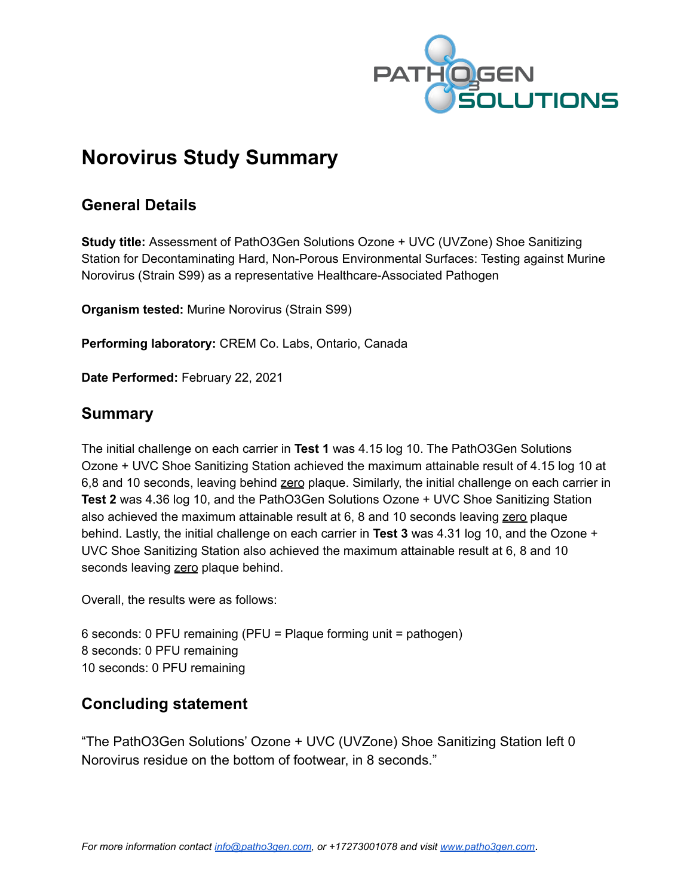

# **Norovirus Study Summary**

## **General Details**

**Study title:** Assessment of PathO3Gen Solutions Ozone + UVC (UVZone) Shoe Sanitizing Station for Decontaminating Hard, Non-Porous Environmental Surfaces: Testing against Murine Norovirus (Strain S99) as a representative Healthcare-Associated Pathogen

**Organism tested:** Murine Norovirus (Strain S99)

**Performing laboratory:** CREM Co. Labs, Ontario, Canada

**Date Performed:** February 22, 2021

## **Summary**

The initial challenge on each carrier in **Test 1** was 4.15 log 10. The PathO3Gen Solutions Ozone + UVC Shoe Sanitizing Station achieved the maximum attainable result of 4.15 log 10 at 6,8 and 10 seconds, leaving behind zero plaque. Similarly, the initial challenge on each carrier in **Test 2** was 4.36 log 10, and the PathO3Gen Solutions Ozone + UVC Shoe Sanitizing Station also achieved the maximum attainable result at 6, 8 and 10 seconds leaving zero plaque behind. Lastly, the initial challenge on each carrier in **Test 3** was 4.31 log 10, and the Ozone + UVC Shoe Sanitizing Station also achieved the maximum attainable result at 6, 8 and 10 seconds leaving zero plaque behind.

Overall, the results were as follows:

6 seconds: 0 PFU remaining (PFU = Plaque forming unit = pathogen) 8 seconds: 0 PFU remaining 10 seconds: 0 PFU remaining

## **Concluding statement**

"The PathO3Gen Solutions' Ozone + UVC (UVZone) Shoe Sanitizing Station left 0 Norovirus residue on the bottom of footwear, in 8 seconds."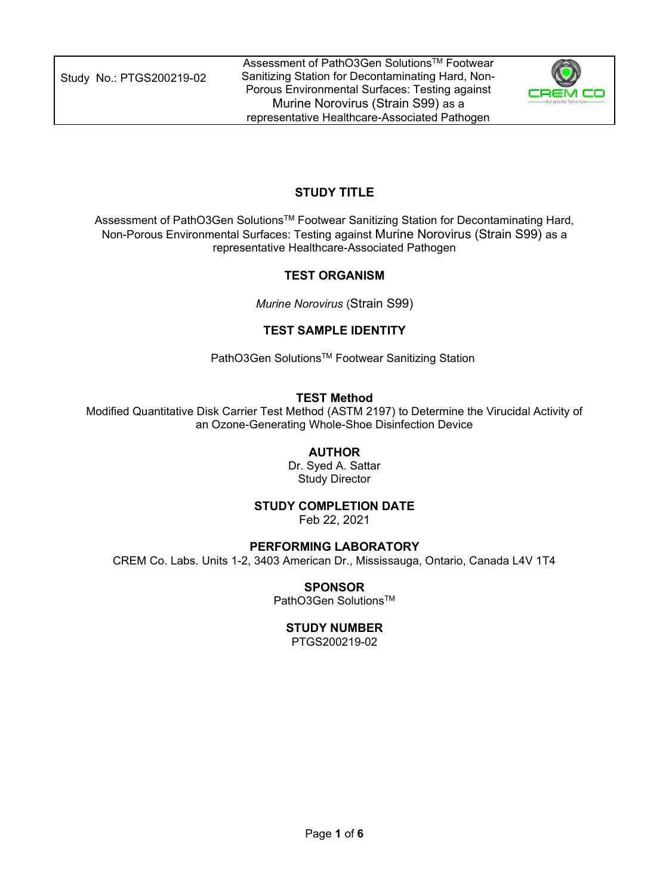Study No.: PTGS200219-02



## **STUDY TITLE**

Assessment of PathO3Gen SolutionsTM Footwear Sanitizing Station for Decontaminating Hard, Non-Porous Environmental Surfaces: Testing against Murine Norovirus (Strain S99) as a representative Healthcare-Associated Pathogen

## **TEST ORGANISM**

*Murine Norovirus* (Strain S99)

## **TEST SAMPLE IDENTITY**

PathO3Gen Solutions<sup>™</sup> Footwear Sanitizing Station

## **TEST Method**

Modified Quantitative Disk Carrier Test Method (ASTM 2197) to Determine the Virucidal Activity of an Ozone-Generating Whole-Shoe Disinfection Device

## **AUTHOR**

Dr. Syed A. Sattar Study Director

## **STUDY COMPLETION DATE**

Feb 22, 2021

## **PERFORMING LABORATORY**

CREM Co. Labs. Units 1-2, 3403 American Dr., Mississauga, Ontario, Canada L4V 1T4

## **SPONSOR**

PathO3Gen Solutions<sup>™</sup>

## **STUDY NUMBER**

PTGS200219-02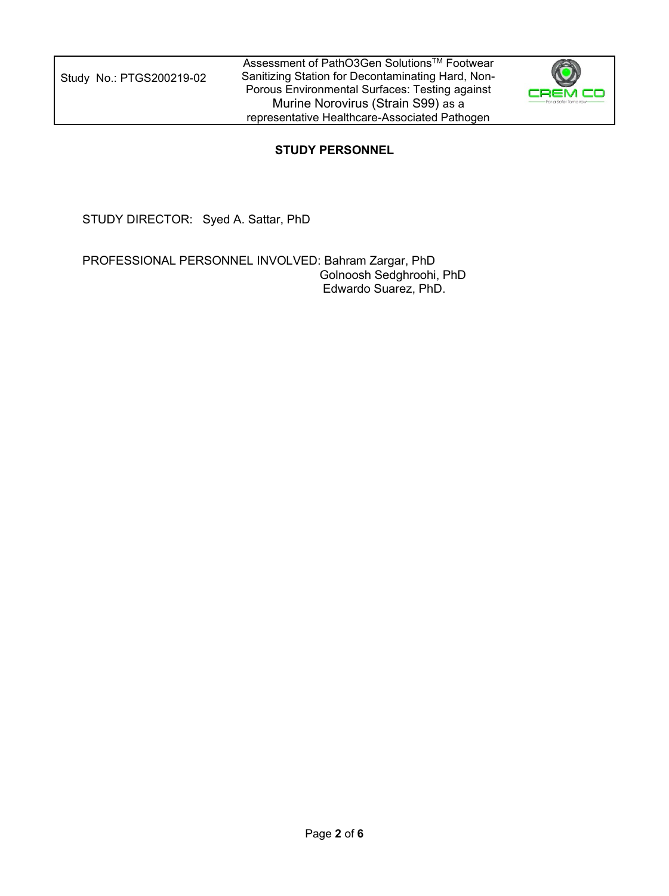

## **STUDY PERSONNEL**

STUDY DIRECTOR: Syed A. Sattar, PhD

PROFESSIONAL PERSONNEL INVOLVED: Bahram Zargar, PhD Golnoosh Sedghroohi, PhD Edwardo Suarez, PhD.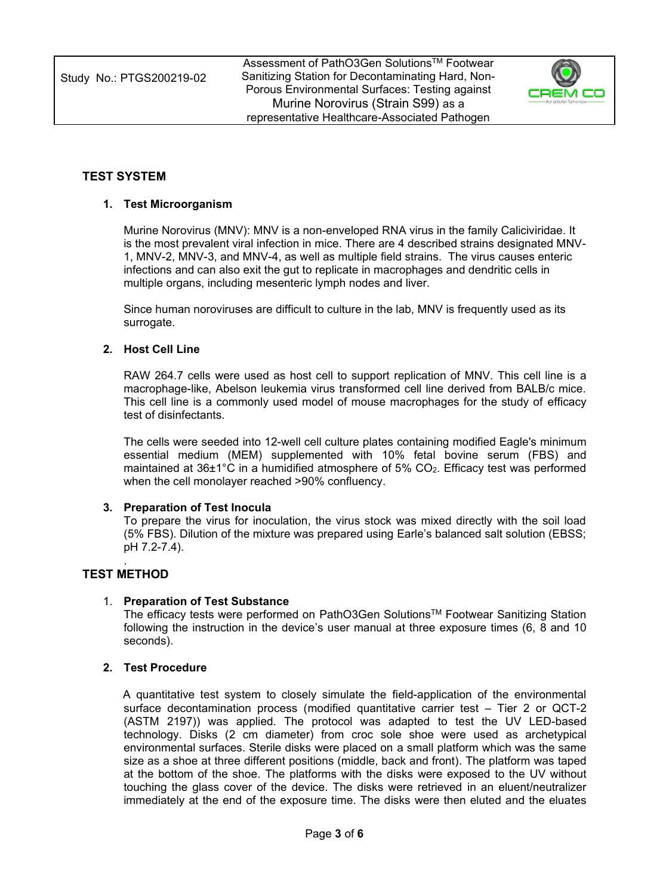

## **TEST SYSTEM**

#### **1. Test Microorganism**

Murine Norovirus (MNV): MNV is a non-enveloped RNA virus in the family Caliciviridae. It is the most prevalent viral infection in mice. There are 4 described strains designated MNV-1, MNV-2, MNV-3, and MNV-4, as well as multiple field strains. The virus causes enteric infections and can also exit the gut to replicate in macrophages and dendritic cells in multiple organs, including mesenteric lymph nodes and liver.

Since human noroviruses are difficult to culture in the lab, MNV is frequently used as its surrogate.

#### **2. Host Cell Line**

RAW 264.7 cells were used as host cell to support replication of MNV. This cell line is a macrophage-like, Abelson leukemia virus transformed cell line derived from BALB/c mice. This cell line is a commonly used model of mouse macrophages for the study of efficacy test of disinfectants.

The cells were seeded into 12-well cell culture plates containing modified Eagle's minimum essential medium (MEM) supplemented with 10% fetal bovine serum (FBS) and maintained at 36±1°C in a humidified atmosphere of 5% CO2. Efficacy test was performed when the cell monolayer reached >90% confluency.

#### **3. Preparation of Test Inocula**

To prepare the virus for inoculation, the virus stock was mixed directly with the soil load (5% FBS). Dilution of the mixture was prepared using Earle's balanced salt solution (EBSS; pH 7.2-7.4).

#### . **TEST METHOD**

#### 1. **Preparation of Test Substance**

The efficacy tests were performed on PathO3Gen SolutionsTM Footwear Sanitizing Station following the instruction in the device's user manual at three exposure times (6, 8 and 10 seconds).

#### **2. Test Procedure**

A quantitative test system to closely simulate the field-application of the environmental surface decontamination process (modified quantitative carrier test – Tier 2 or QCT-2 (ASTM 2197)) was applied. The protocol was adapted to test the UV LED-based technology. Disks (2 cm diameter) from croc sole shoe were used as archetypical environmental surfaces. Sterile disks were placed on a small platform which was the same size as a shoe at three different positions (middle, back and front). The platform was taped at the bottom of the shoe. The platforms with the disks were exposed to the UV without touching the glass cover of the device. The disks were retrieved in an eluent/neutralizer immediately at the end of the exposure time. The disks were then eluted and the eluates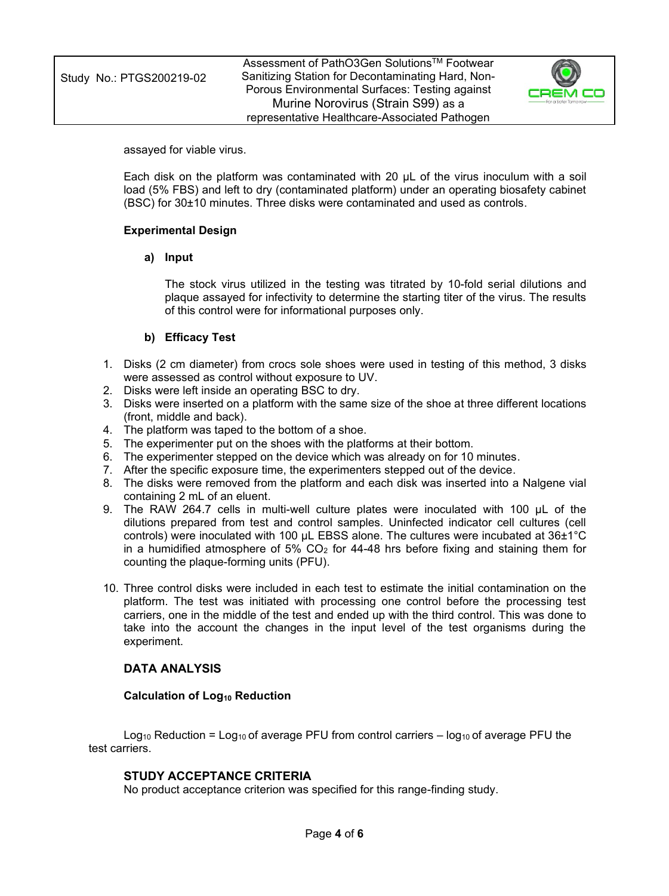assayed for viable virus.

Each disk on the platform was contaminated with 20 μL of the virus inoculum with a soil load (5% FBS) and left to dry (contaminated platform) under an operating biosafety cabinet (BSC) for 30±10 minutes. Three disks were contaminated and used as controls.

#### **Experimental Design**

#### **a) Input**

The stock virus utilized in the testing was titrated by 10-fold serial dilutions and plaque assayed for infectivity to determine the starting titer of the virus. The results of this control were for informational purposes only.

#### **b) Efficacy Test**

- 1. Disks (2 cm diameter) from crocs sole shoes were used in testing of this method, 3 disks were assessed as control without exposure to UV.
- 2. Disks were left inside an operating BSC to dry.
- 3. Disks were inserted on a platform with the same size of the shoe at three different locations (front, middle and back).
- 4. The platform was taped to the bottom of a shoe.
- 5. The experimenter put on the shoes with the platforms at their bottom.
- 6. The experimenter stepped on the device which was already on for 10 minutes.
- 7. After the specific exposure time, the experimenters stepped out of the device.
- 8. The disks were removed from the platform and each disk was inserted into a Nalgene vial containing 2 mL of an eluent.
- 9. The RAW 264.7 cells in multi-well culture plates were inoculated with 100 μL of the dilutions prepared from test and control samples. Uninfected indicator cell cultures (cell controls) were inoculated with 100 μL EBSS alone. The cultures were incubated at 36±1°C in a humidified atmosphere of 5%  $CO<sub>2</sub>$  for 44-48 hrs before fixing and staining them for counting the plaque-forming units (PFU).
- 10. Three control disks were included in each test to estimate the initial contamination on the platform. The test was initiated with processing one control before the processing test carriers, one in the middle of the test and ended up with the third control. This was done to take into the account the changes in the input level of the test organisms during the experiment.

#### **DATA ANALYSIS**

#### **Calculation of Log<sup>10</sup> Reduction**

Log<sub>10</sub> Reduction = Log<sub>10</sub> of average PFU from control carriers –  $log_{10}$  of average PFU the test carriers.

#### **STUDY ACCEPTANCE CRITERIA**

No product acceptance criterion was specified for this range-finding study.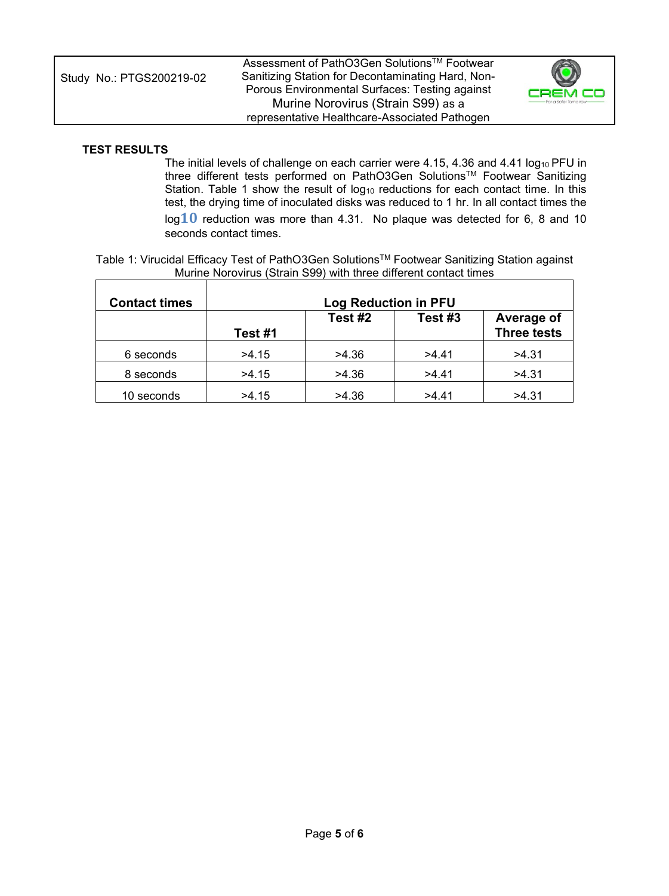| Assessment of PathO3Gen Solutions <sup>™</sup> Footwear<br>Sanitizing Station for Decontaminating Hard, Non-<br>Study No.: PTGS200219-02<br>Porous Environmental Surfaces: Testing against<br>Murine Norovirus (Strain S99) as a<br>representative Healthcare-Associated Pathogen | $\ddot{\mathbf{O}}$<br>CREM CO<br>- For a Safer Tamorrow- |
|-----------------------------------------------------------------------------------------------------------------------------------------------------------------------------------------------------------------------------------------------------------------------------------|-----------------------------------------------------------|
|-----------------------------------------------------------------------------------------------------------------------------------------------------------------------------------------------------------------------------------------------------------------------------------|-----------------------------------------------------------|

#### **TEST RESULTS**

The initial levels of challenge on each carrier were 4.15, 4.36 and 4.41 log<sub>10</sub> PFU in three different tests performed on PathO3Gen Solutions™ Footwear Sanitizing Station. Table 1 show the result of  $log_{10}$  reductions for each contact time. In this test, the drying time of inoculated disks was reduced to 1 hr. In all contact times the log**10** reduction was more than 4.31. No plaque was detected for 6, 8 and 10 seconds contact times.

Table 1: Virucidal Efficacy Test of PathO3Gen SolutionsTM Footwear Sanitizing Station against Murine Norovirus (Strain S99) with three different contact times  $\overline{\phantom{a}}$ 

| <b>Contact times</b> | <b>Log Reduction in PFU</b> |         |         |                                  |  |  |  |  |
|----------------------|-----------------------------|---------|---------|----------------------------------|--|--|--|--|
|                      | Test #1                     | Test #2 | Test #3 | Average of<br><b>Three tests</b> |  |  |  |  |
| 6 seconds            | >4.15                       | >4.36   | >4.41   | >4.31                            |  |  |  |  |
| 8 seconds            | >4.15                       | >4.36   | >4.41   | >4.31                            |  |  |  |  |
| 10 seconds           | >4.15                       | >4.36   | >4.41   | >4.31                            |  |  |  |  |